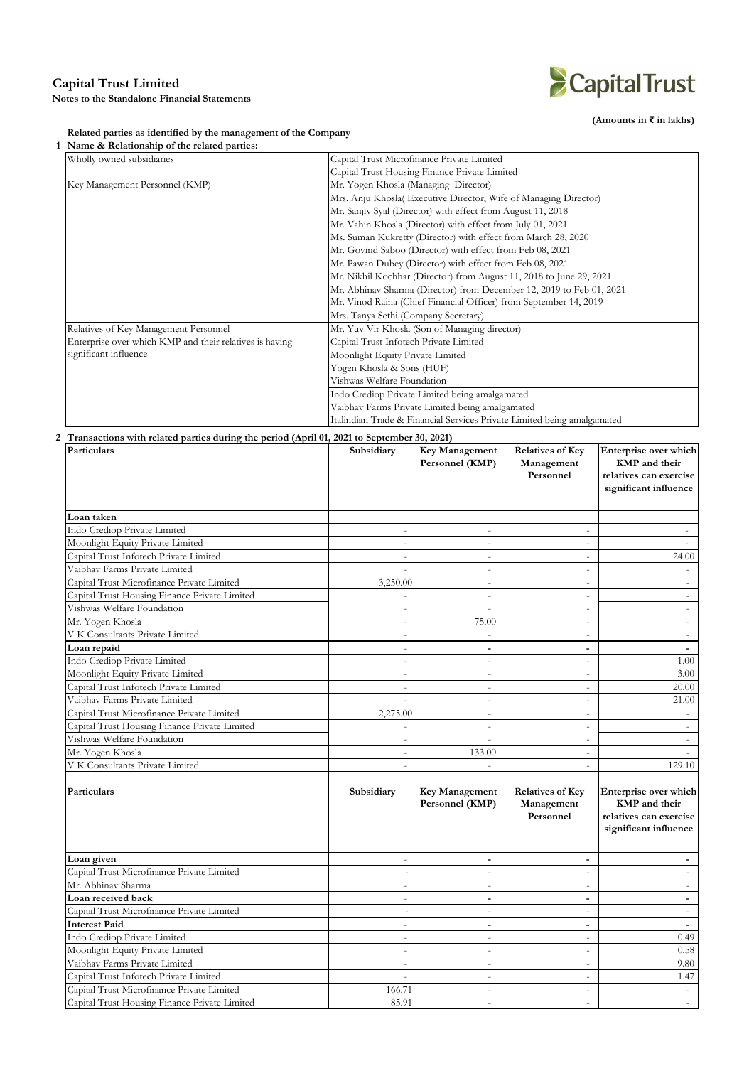**Notes to the Standalone Financial Statements**

## CapitalTrust

**(Amounts in ₹ in lakhs)**

### **Related parties as identified by the management of the Company**

| Wholly owned subsidiaries                               | Capital Trust Microfinance Private Limited                              |  |  |  |
|---------------------------------------------------------|-------------------------------------------------------------------------|--|--|--|
|                                                         | Capital Trust Housing Finance Private Limited                           |  |  |  |
| Key Management Personnel (KMP)                          | Mr. Yogen Khosla (Managing Director)                                    |  |  |  |
|                                                         | Mrs. Anju Khosla( Executive Director, Wife of Managing Director)        |  |  |  |
|                                                         | Mr. Sanjiv Syal (Director) with effect from August 11, 2018             |  |  |  |
|                                                         | Mr. Vahin Khosla (Director) with effect from July 01, 2021              |  |  |  |
|                                                         | Ms. Suman Kukretty (Director) with effect from March 28, 2020           |  |  |  |
|                                                         | Mr. Govind Saboo (Director) with effect from Feb 08, 2021               |  |  |  |
|                                                         | Mr. Pawan Dubey (Director) with effect from Feb 08, 2021                |  |  |  |
|                                                         | Mr. Nikhil Kochhar (Director) from August 11, 2018 to June 29, 2021     |  |  |  |
|                                                         | Mr. Abhinav Sharma (Director) from December 12, 2019 to Feb 01, 2021    |  |  |  |
|                                                         | Mr. Vinod Raina (Chief Financial Officer) from September 14, 2019       |  |  |  |
|                                                         | Mrs. Tanya Sethi (Company Secretary)                                    |  |  |  |
| Relatives of Key Management Personnel                   | Mr. Yuv Vir Khosla (Son of Managing director)                           |  |  |  |
| Enterprise over which KMP and their relatives is having | Capital Trust Infotech Private Limited                                  |  |  |  |
| significant influence                                   | Moonlight Equity Private Limited                                        |  |  |  |
|                                                         | Yogen Khosla & Sons (HUF)                                               |  |  |  |
|                                                         | Vishwas Welfare Foundation                                              |  |  |  |
|                                                         | Indo Crediop Private Limited being amalgamated                          |  |  |  |
|                                                         | Vaibhav Farms Private Limited being amalgamated                         |  |  |  |
|                                                         | Italindian Trade & Financial Services Private Limited being amalgamated |  |  |  |

| Particulars                                   | Subsidiary               | Key Management<br>Personnel (KMP)        | <b>Relatives of Key</b><br>Management<br>Personnel | Enterprise over which<br>KMP and their<br>relatives can exercise<br>significant influence        |
|-----------------------------------------------|--------------------------|------------------------------------------|----------------------------------------------------|--------------------------------------------------------------------------------------------------|
| Loan taken                                    |                          |                                          |                                                    |                                                                                                  |
| Indo Crediop Private Limited                  | $\sim$                   | $\sim$                                   | $\overline{\phantom{a}}$                           |                                                                                                  |
| Moonlight Equity Private Limited              | $\omega$                 | $\sim$                                   | $\sim$                                             |                                                                                                  |
| Capital Trust Infotech Private Limited        | $\omega$                 | $\omega$                                 | $\bar{a}$                                          | 24.00                                                                                            |
| Vaibhav Farms Private Limited                 | $\omega$                 | $\omega$                                 | ÷.                                                 |                                                                                                  |
| Capital Trust Microfinance Private Limited    | 3,250.00                 | $\sim$                                   | $\sim$                                             |                                                                                                  |
| Capital Trust Housing Finance Private Limited | $\sim$                   | $\overline{\phantom{a}}$                 |                                                    |                                                                                                  |
| Vishwas Welfare Foundation                    | $\overline{\phantom{a}}$ |                                          |                                                    |                                                                                                  |
| Mr. Yogen Khosla                              | $\sim$                   | 75.00                                    | $\sim$                                             |                                                                                                  |
| V K Consultants Private Limited               | $\overline{\phantom{a}}$ | $\mathbf{r}$                             | ÷                                                  |                                                                                                  |
| Loan repaid                                   | $\sim$                   | $\overline{\phantom{a}}$                 | $\blacksquare$                                     |                                                                                                  |
| Indo Crediop Private Limited                  | $\sim$                   | $\omega$                                 | $\bar{a}$                                          | 1.00                                                                                             |
| Moonlight Equity Private Limited              | $\overline{\phantom{a}}$ | $\overline{\phantom{a}}$                 | $\overline{\phantom{a}}$                           | 3.00                                                                                             |
| Capital Trust Infotech Private Limited        | $\omega$                 | $\omega$                                 | $\bar{a}$                                          | 20.00                                                                                            |
| Vaibhav Farms Private Limited                 | $\sim$                   | $\overline{\phantom{a}}$                 | $\sim$                                             | 21.00                                                                                            |
| Capital Trust Microfinance Private Limited    | 2,275.00                 | $\overline{\phantom{a}}$                 | ÷                                                  |                                                                                                  |
| Capital Trust Housing Finance Private Limited |                          | ÷                                        | $\sim$                                             |                                                                                                  |
| Vishwas Welfare Foundation                    |                          | $\sim$                                   |                                                    |                                                                                                  |
| Mr. Yogen Khosla                              | $\omega$                 | 133.00                                   | $\omega$                                           |                                                                                                  |
| V K Consultants Private Limited               | $\sim$                   | $\sim$                                   | $\overline{\phantom{a}}$                           | 129.10                                                                                           |
|                                               |                          |                                          |                                                    |                                                                                                  |
| Particulars                                   | Subsidiary               | <b>Key Management</b><br>Personnel (KMP) | <b>Relatives of Key</b><br>Management<br>Personnel | Enterprise over which<br><b>KMP</b> and their<br>relatives can exercise<br>significant influence |
| Loan given                                    | $\omega$                 | $\sim$                                   | $\blacksquare$                                     | $\overline{a}$                                                                                   |
| Capital Trust Microfinance Private Limited    | $\overline{\phantom{a}}$ | $\overline{\phantom{a}}$                 | ÷                                                  |                                                                                                  |
| Mr. Abhinav Sharma                            | $\sim$                   | $\omega$                                 | ÷                                                  |                                                                                                  |
| Loan received back                            | $\overline{\phantom{a}}$ | $\overline{\phantom{a}}$                 | $\overline{\phantom{a}}$                           | ۰                                                                                                |
| Capital Trust Microfinance Private Limited    | $\sim$                   | $\overline{\phantom{a}}$                 | $\sim$                                             | $\overline{\phantom{a}}$                                                                         |
| <b>Interest Paid</b>                          | $\sim$                   | $\blacksquare$                           | $\overline{\phantom{a}}$                           | $\sim$                                                                                           |
| Indo Crediop Private Limited                  | $\sim$                   | $\sim$                                   | ÷                                                  | 0.49                                                                                             |
| Moonlight Equity Private Limited              | $\sim$                   | $\sim$                                   | $\overline{\phantom{a}}$                           | 0.58                                                                                             |
| Vaibhav Farms Private Limited                 | $\sim$                   | $\omega$                                 | $\overline{\phantom{a}}$                           | 9.80                                                                                             |
| Capital Trust Infotech Private Limited        | $\sim$                   | $\sim$                                   | $\overline{\phantom{a}}$                           | 1.47                                                                                             |
| Capital Trust Microfinance Private Limited    | 166.71                   | $\sim$                                   |                                                    |                                                                                                  |
| Capital Trust Housing Finance Private Limited | 85.91                    | $\sim$                                   | $\omega$                                           |                                                                                                  |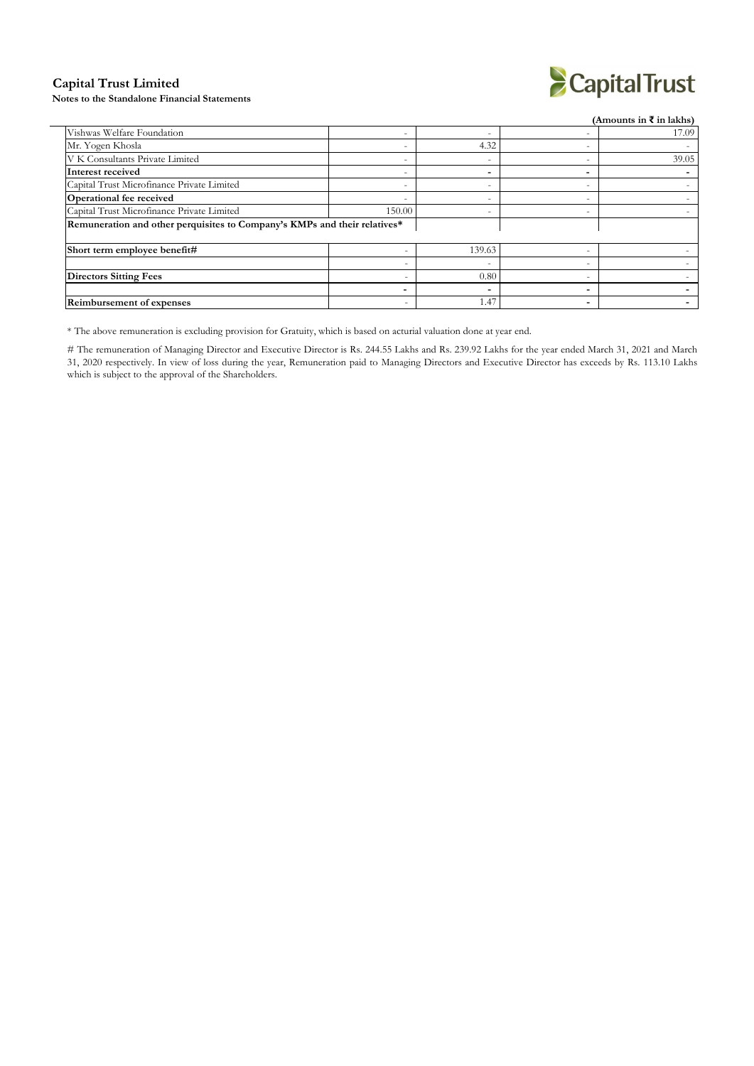#### **Capital Trust Limited**

**Notes to the Standalone Financial Statements**



|                                                                           |        |                          |   | (Amounts in ₹ in lakhs) |
|---------------------------------------------------------------------------|--------|--------------------------|---|-------------------------|
| Vishwas Welfare Foundation                                                |        |                          |   | 17.09                   |
| Mr. Yogen Khosla                                                          |        | 4.32                     | - |                         |
| V K Consultants Private Limited                                           | -      |                          | - | 39.05                   |
| Interest received                                                         |        | $\overline{\phantom{0}}$ |   |                         |
| Capital Trust Microfinance Private Limited                                | -      | $\overline{\phantom{a}}$ | - |                         |
| Operational fee received                                                  |        | $\overline{\phantom{0}}$ | - |                         |
| Capital Trust Microfinance Private Limited                                | 150.00 | $\overline{\phantom{0}}$ | - |                         |
| Remuneration and other perquisites to Company's KMPs and their relatives* |        |                          |   |                         |
| Short term employee benefit#                                              |        | 139.63                   |   |                         |
|                                                                           |        | $\overline{\phantom{a}}$ |   |                         |
| <b>Directors Sitting Fees</b>                                             |        | 0.80                     | - |                         |
|                                                                           |        | $\overline{\phantom{0}}$ | - |                         |
| <b>Reimbursement of expenses</b>                                          | -      | 1.47                     | - |                         |

\* The above remuneration is excluding provision for Gratuity, which is based on acturial valuation done at yearend.

# The remuneration of Managing Director and Executive Director is Rs. 244.55 Lakhs and Rs. 239.92 Lakhs for the year ended March 31, 2021 and March 31, 2020 respectively. In view of loss during the year, Remuneration paid to Managing Directors and Executive Director has exceeds by Rs. 113.10 Lakhs which is subject to the approval of the Shareholders.